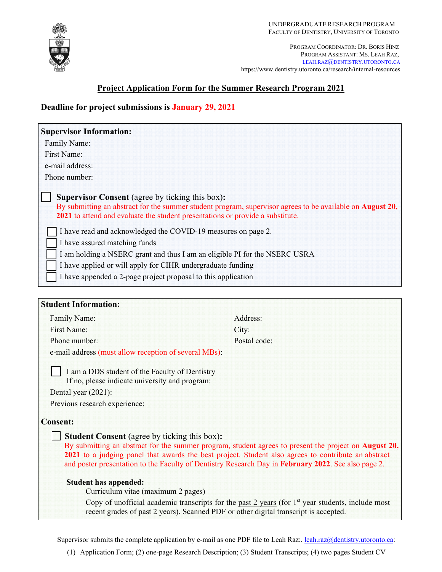

PROGRAM COORDINATOR: DR. BORIS HINZ PROGRAM ASSISTANT: MS. LEAH RAZ, LEAH.RAZ@DENTISTRY.UTORONTO.CA https://www.dentistry.utoronto.ca/research/internal-resources

# **Project Application Form for the Summer Research Program 2021**

# **Deadline for project submissions is January 29, 2021**

| <b>Supervisor Information:</b>                                                                                                                                                                                                                                                                                                                                                                                                                                                                                                                                                |              |
|-------------------------------------------------------------------------------------------------------------------------------------------------------------------------------------------------------------------------------------------------------------------------------------------------------------------------------------------------------------------------------------------------------------------------------------------------------------------------------------------------------------------------------------------------------------------------------|--------------|
| Family Name:                                                                                                                                                                                                                                                                                                                                                                                                                                                                                                                                                                  |              |
| First Name:                                                                                                                                                                                                                                                                                                                                                                                                                                                                                                                                                                   |              |
| e-mail address:                                                                                                                                                                                                                                                                                                                                                                                                                                                                                                                                                               |              |
| Phone number:                                                                                                                                                                                                                                                                                                                                                                                                                                                                                                                                                                 |              |
| <b>Supervisor Consent</b> (agree by ticking this box):<br>By submitting an abstract for the summer student program, supervisor agrees to be available on <b>August 20</b> ,<br>2021 to attend and evaluate the student presentations or provide a substitute.<br>I have read and acknowledged the COVID-19 measures on page 2.<br>I have assured matching funds<br>I am holding a NSERC grant and thus I am an eligible PI for the NSERC USRA<br>I have applied or will apply for CIHR undergraduate funding<br>I have appended a 2-page project proposal to this application |              |
| <b>Student Information:</b>                                                                                                                                                                                                                                                                                                                                                                                                                                                                                                                                                   |              |
| Family Name:                                                                                                                                                                                                                                                                                                                                                                                                                                                                                                                                                                  | Address:     |
| First Name:                                                                                                                                                                                                                                                                                                                                                                                                                                                                                                                                                                   | City:        |
| Phone number:                                                                                                                                                                                                                                                                                                                                                                                                                                                                                                                                                                 | Postal code: |
| e-mail address (must allow reception of several MBs):                                                                                                                                                                                                                                                                                                                                                                                                                                                                                                                         |              |
| I am a DDS student of the Faculty of Dentistry<br>If no, please indicate university and program:<br>Dental year (2021):<br>Previous research experience:                                                                                                                                                                                                                                                                                                                                                                                                                      |              |
| <b>Consent:</b>                                                                                                                                                                                                                                                                                                                                                                                                                                                                                                                                                               |              |
| <b>Student Consent</b> (agree by ticking this box):<br>By submitting an abstract for the summer program, student agrees to present the project on <b>August 20</b> ,<br>2021 to a judging panel that awards the best project. Student also agrees to contribute an abstract<br>and poster presentation to the Faculty of Dentistry Research Day in February 2022. See also page 2.                                                                                                                                                                                            |              |
| <b>Student has appended:</b><br>Curriculum vitae (maximum 2 pages)                                                                                                                                                                                                                                                                                                                                                                                                                                                                                                            |              |
| Copy of unofficial academic transcripts for the past $2$ years (for $1st$ year students, include most<br>recent grades of past 2 years). Scanned PDF or other digital transcript is accepted.                                                                                                                                                                                                                                                                                                                                                                                 |              |

Supervisor submits the complete application by e-mail as one PDF file to Leah Raz:. leah.raz@dentistry.utoronto.ca:

(1) Application Form; (2) one-page Research Description; (3) Student Transcripts; (4) two pages Student CV